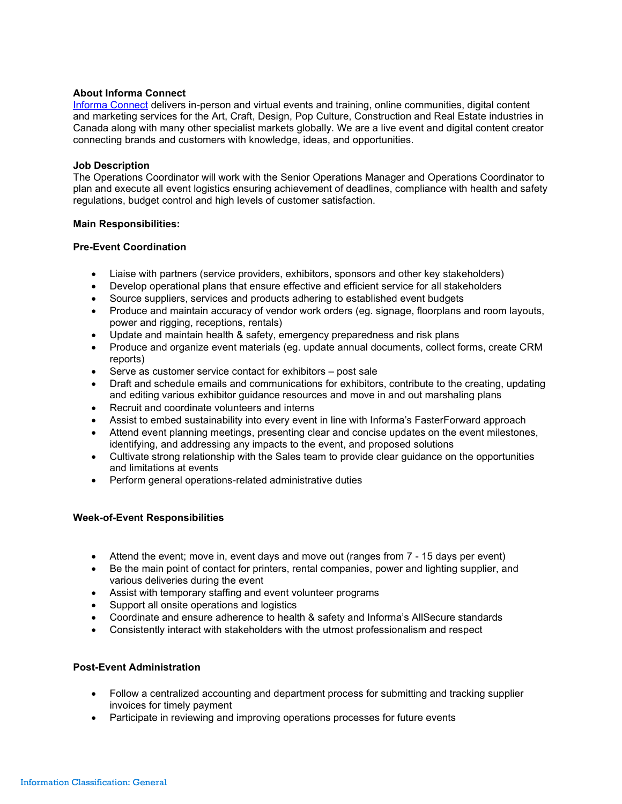# About Informa Connect

Informa Connect delivers in-person and virtual events and training, online communities, digital content and marketing services for the Art, Craft, Design, Pop Culture, Construction and Real Estate industries in Canada along with many other specialist markets globally. We are a live event and digital content creator connecting brands and customers with knowledge, ideas, and opportunities.

### Job Description

The Operations Coordinator will work with the Senior Operations Manager and Operations Coordinator to plan and execute all event logistics ensuring achievement of deadlines, compliance with health and safety regulations, budget control and high levels of customer satisfaction.

### Main Responsibilities:

### Pre-Event Coordination

- Liaise with partners (service providers, exhibitors, sponsors and other key stakeholders)
- Develop operational plans that ensure effective and efficient service for all stakeholders
- Source suppliers, services and products adhering to established event budgets
- Produce and maintain accuracy of vendor work orders (eg. signage, floorplans and room layouts, power and rigging, receptions, rentals)
- Update and maintain health & safety, emergency preparedness and risk plans
- Produce and organize event materials (eg. update annual documents, collect forms, create CRM reports)
- Serve as customer service contact for exhibitors post sale
- Draft and schedule emails and communications for exhibitors, contribute to the creating, updating and editing various exhibitor guidance resources and move in and out marshaling plans
- Recruit and coordinate volunteers and interns
- Assist to embed sustainability into every event in line with Informa's FasterForward approach
- Attend event planning meetings, presenting clear and concise updates on the event milestones, identifying, and addressing any impacts to the event, and proposed solutions
- Cultivate strong relationship with the Sales team to provide clear guidance on the opportunities and limitations at events
- Perform general operations-related administrative duties

# Week-of-Event Responsibilities

- Attend the event; move in, event days and move out (ranges from 7 15 days per event)
- Be the main point of contact for printers, rental companies, power and lighting supplier, and various deliveries during the event
- Assist with temporary staffing and event volunteer programs
- Support all onsite operations and logistics
- Coordinate and ensure adherence to health & safety and Informa's AllSecure standards
- Consistently interact with stakeholders with the utmost professionalism and respect

# Post-Event Administration

- Follow a centralized accounting and department process for submitting and tracking supplier invoices for timely payment
- Participate in reviewing and improving operations processes for future events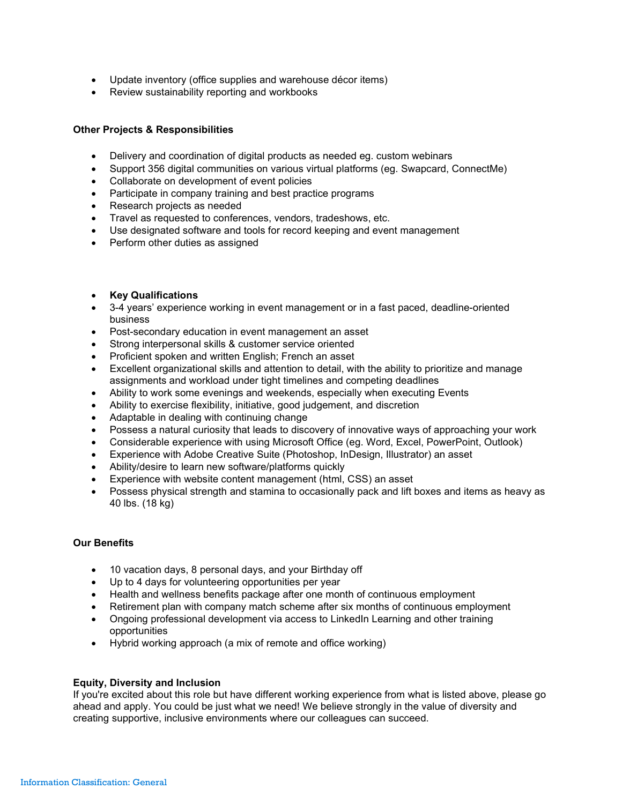- Update inventory (office supplies and warehouse décor items)
- Review sustainability reporting and workbooks

# Other Projects & Responsibilities

- Delivery and coordination of digital products as needed eg. custom webinars
- Support 356 digital communities on various virtual platforms (eg. Swapcard, ConnectMe)
- Collaborate on development of event policies
- Participate in company training and best practice programs
- Research projects as needed
- Travel as requested to conferences, vendors, tradeshows, etc.
- Use designated software and tools for record keeping and event management
- Perform other duties as assigned
- Key Qualifications
- 3-4 years' experience working in event management or in a fast paced, deadline-oriented business
- Post-secondary education in event management an asset
- Strong interpersonal skills & customer service oriented
- Proficient spoken and written English; French an asset
- Excellent organizational skills and attention to detail, with the ability to prioritize and manage assignments and workload under tight timelines and competing deadlines
- Ability to work some evenings and weekends, especially when executing Events
- Ability to exercise flexibility, initiative, good judgement, and discretion
- Adaptable in dealing with continuing change
- Possess a natural curiosity that leads to discovery of innovative ways of approaching your work
- Considerable experience with using Microsoft Office (eg. Word, Excel, PowerPoint, Outlook)
- Experience with Adobe Creative Suite (Photoshop, InDesign, Illustrator) an asset
- Ability/desire to learn new software/platforms quickly
- Experience with website content management (html, CSS) an asset
- Possess physical strength and stamina to occasionally pack and lift boxes and items as heavy as 40 lbs. (18 kg)

# Our Benefits

- 10 vacation days, 8 personal days, and your Birthday off
- Up to 4 days for volunteering opportunities per year
- Health and wellness benefits package after one month of continuous employment
- Retirement plan with company match scheme after six months of continuous employment
- Ongoing professional development via access to LinkedIn Learning and other training opportunities
- Hybrid working approach (a mix of remote and office working)

# Equity, Diversity and Inclusion

If you're excited about this role but have different working experience from what is listed above, please go ahead and apply. You could be just what we need! We believe strongly in the value of diversity and creating supportive, inclusive environments where our colleagues can succeed.